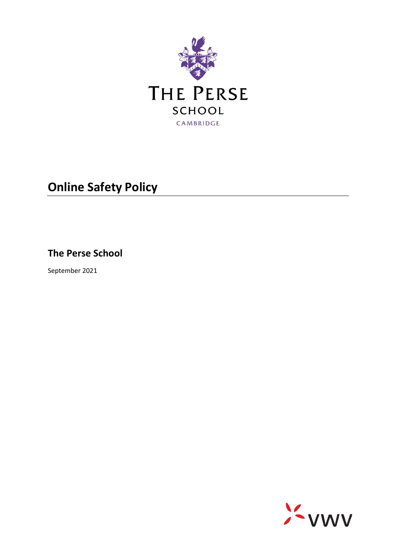

# **Online Safety Policy**

**The Perse School**

September 2021

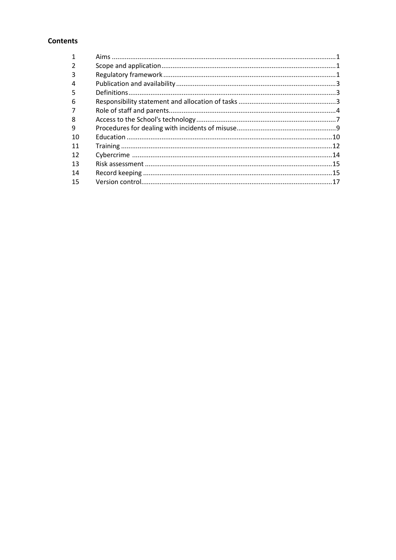# **Contents**

| 3  |  |
|----|--|
|    |  |
| 5  |  |
| 6  |  |
|    |  |
| 8  |  |
| 9  |  |
| 10 |  |
| 11 |  |
| 12 |  |
| 13 |  |
| 14 |  |
| 15 |  |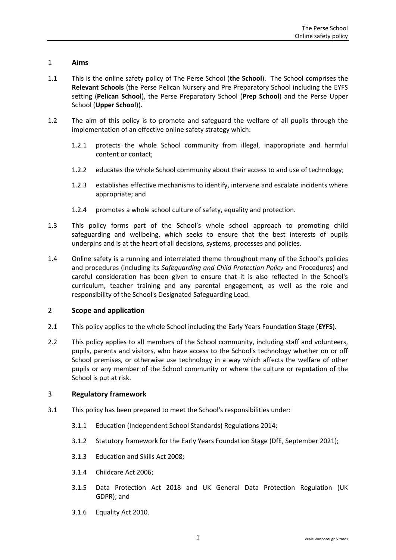## <span id="page-2-0"></span>1 **Aims**

- 1.1 This is the online safety policy of The Perse School (**the School**). The School comprises the **Relevant Schools** (the Perse Pelican Nursery and Pre Preparatory School including the EYFS setting (**Pelican School**), the Perse Preparatory School (**Prep School**) and the Perse Upper School (**Upper School**)).
- 1.2 The aim of this policy is to promote and safeguard the welfare of all pupils through the implementation of an effective online safety strategy which:
	- 1.2.1 protects the whole School community from illegal, inappropriate and harmful content or contact;
	- 1.2.2 educates the whole School community about their access to and use of technology;
	- 1.2.3 establishes effective mechanisms to identify, intervene and escalate incidents where appropriate; and
	- 1.2.4 promotes a whole school culture of safety, equality and protection.
- 1.3 This policy forms part of the School's whole school approach to promoting child safeguarding and wellbeing, which seeks to ensure that the best interests of pupils underpins and is at the heart of all decisions, systems, processes and policies.
- 1.4 Online safety is a running and interrelated theme throughout many of the School's policies and procedures (including its *Safeguarding and Child Protection Policy* and Procedures) and careful consideration has been given to ensure that it is also reflected in the School's curriculum, teacher training and any parental engagement, as well as the role and responsibility of the School's Designated Safeguarding Lead.

#### <span id="page-2-1"></span>2 **Scope and application**

- 2.1 This policy applies to the whole School including the Early Years Foundation Stage (**EYFS**).
- 2.2 This policy applies to all members of the School community, including staff and volunteers, pupils, parents and visitors, who have access to the School's technology whether on or off School premises, or otherwise use technology in a way which affects the welfare of other pupils or any member of the School community or where the culture or reputation of the School is put at risk.

#### <span id="page-2-2"></span>3 **Regulatory framework**

- 3.1 This policy has been prepared to meet the School's responsibilities under:
	- 3.1.1 Education (Independent School Standards) Regulations 2014;
	- 3.1.2 Statutory framework for the Early Years Foundation Stage (DfE, September 2021);
	- 3.1.3 Education and Skills Act 2008;
	- 3.1.4 Childcare Act 2006;
	- 3.1.5 Data Protection Act 2018 and UK General Data Protection Regulation (UK GDPR); and
	- 3.1.6 Equality Act 2010.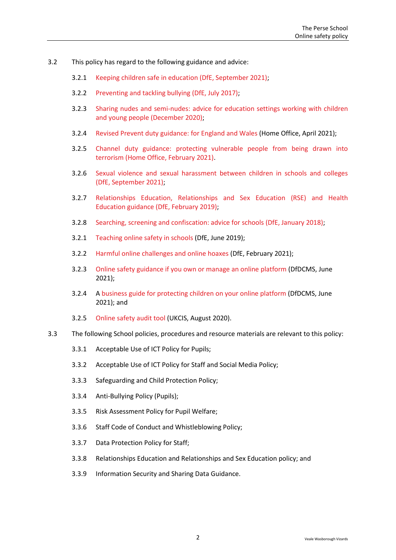- 3.2 This policy has regard to the following guidance and advice:
	- 3.2.1 [Keeping children safe in education \(DfE, September 2021\);](https://www.gov.uk/government/publications/keeping-children-safe-in-education--2)
	- 3.2.2 [Preventing and tackling bullying \(DfE, July 2017\);](https://www.gov.uk/government/publications/preventing-and-tackling-bullying)
	- 3.2.3 [Sharing nudes and semi-nudes: advice for education settings](https://www.gov.uk/government/publications/sharing-nudes-and-semi-nudes-advice-for-education-settings-working-with-children-and-young-people) working with children [and young people \(December 2020\);](https://www.gov.uk/government/publications/sharing-nudes-and-semi-nudes-advice-for-education-settings-working-with-children-and-young-people)
	- 3.2.4 [Revised Prevent duty guidance: for England and Wales](https://www.gov.uk/government/publications/prevent-duty-guidance/revised-prevent-duty-guidance-for-england-and-wales) (Home Office, April 2021);
	- 3.2.5 [Channel duty guidance: protecting vulnerable people from being drawn into](https://www.gov.uk/government/publications/channel-guidance)  [terrorism \(Home Office, February 2021\).](https://www.gov.uk/government/publications/channel-guidance)
	- 3.2.6 [Sexual violence and sexual harassment between children in schools and colleges](https://www.gov.uk/government/publications/sexual-violence-and-sexual-harassment-between-children-in-schools-and-colleges)  [\(DfE, September 2021\);](https://www.gov.uk/government/publications/sexual-violence-and-sexual-harassment-between-children-in-schools-and-colleges)
	- 3.2.7 [Relationships Education, Relationships and Sex Education \(RSE\) and Health](https://www.gov.uk/government/publications/relationships-education-relationships-and-sex-education-rse-and-health-education)  [Education guidance \(DfE, February 2019\);](https://www.gov.uk/government/publications/relationships-education-relationships-and-sex-education-rse-and-health-education)
	- 3.2.8 [Searching, screening and confiscation: advice for schools \(DfE, January 2018\);](https://www.gov.uk/government/publications/searching-screening-and-confiscation)
	- 3.2.1 [Teaching online safety in schools](https://www.gov.uk/government/publications/teaching-online-safety-in-schools) (DfE, June 2019);
	- 3.2.2 [Harmful online challenges and online hoaxes](https://www.gov.uk/government/publications/harmful-online-challenges-and-online-hoaxes) (DfE, February 2021);
	- 3.2.3 [Online safety guidance if you own or manage an online platform](https://www.gov.uk/government/collections/online-safety-guidance-if-you-own-or-manage-an-online-platform) (DfDCMS, June 2021);
	- 3.2.4 A [business guide for protecting children on your online platform](https://www.gov.uk/government/collections/a-business-guide-for-protecting-children-on-your-online-platform) (DfDCMS, June 2021); and
	- 3.2.5 [Online safety audit tool](https://www.gov.uk/government/publications/ukcis-online-safety-audit-tool) (UKCIS, August 2020).
- <span id="page-3-0"></span>3.3 The following School policies, procedures and resource materials are relevant to this policy:
	- 3.3.1 Acceptable Use of ICT Policy for Pupils;
	- 3.3.2 Acceptable Use of ICT Policy for Staff and Social Media Policy;
	- 3.3.3 Safeguarding and Child Protection Policy;
	- 3.3.4 Anti-Bullying Policy (Pupils);
	- 3.3.5 Risk Assessment Policy for Pupil Welfare;
	- 3.3.6 Staff Code of Conduct and Whistleblowing Policy;
	- 3.3.7 Data Protection Policy for Staff;
	- 3.3.8 Relationships Education and Relationships and Sex Education policy; and
	- 3.3.9 Information Security and Sharing Data Guidance.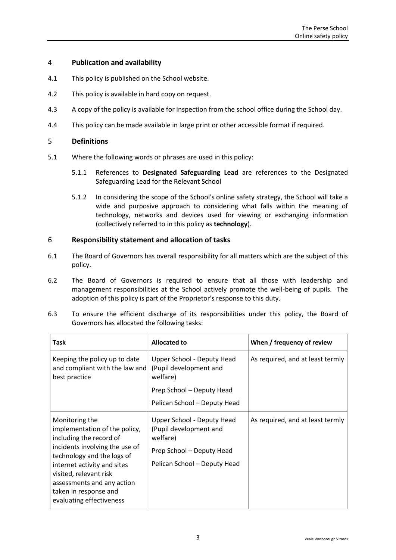## 4 **Publication and availability**

- 4.1 This policy is published on the School website.
- 4.2 This policy is available in hard copy on request.
- 4.3 A copy of the policy is available for inspection from the school office during the School day.
- 4.4 This policy can be made available in large print or other accessible format if required.

## <span id="page-4-0"></span>5 **Definitions**

- 5.1 Where the following words or phrases are used in this policy:
	- 5.1.1 References to **Designated Safeguarding Lead** are references to the Designated Safeguarding Lead for the Relevant School
	- 5.1.2 In considering the scope of the School's online safety strategy, the School will take a wide and purposive approach to considering what falls within the meaning of technology, networks and devices used for viewing or exchanging information (collectively referred to in this policy as **technology**).

## <span id="page-4-1"></span>6 **Responsibility statement and allocation of tasks**

- 6.1 The Board of Governors has overall responsibility for all matters which are the subject of this policy.
- 6.2 The Board of Governors is required to ensure that all those with leadership and management responsibilities at the School actively promote the well-being of pupils. The adoption of this policy is part of the Proprietor's response to this duty.
- 6.3 To ensure the efficient discharge of its responsibilities under this policy, the Board of Governors has allocated the following tasks:

| <b>Task</b>                                                                                                                                                                                                                                                                            | <b>Allocated to</b>                                                                                                           | When / frequency of review       |
|----------------------------------------------------------------------------------------------------------------------------------------------------------------------------------------------------------------------------------------------------------------------------------------|-------------------------------------------------------------------------------------------------------------------------------|----------------------------------|
| Keeping the policy up to date<br>and compliant with the law and<br>best practice                                                                                                                                                                                                       | Upper School - Deputy Head<br>(Pupil development and<br>welfare)                                                              | As required, and at least termly |
|                                                                                                                                                                                                                                                                                        | Prep School - Deputy Head                                                                                                     |                                  |
|                                                                                                                                                                                                                                                                                        | Pelican School - Deputy Head                                                                                                  |                                  |
| Monitoring the<br>implementation of the policy,<br>including the record of<br>incidents involving the use of<br>technology and the logs of<br>internet activity and sites<br>visited, relevant risk<br>assessments and any action<br>taken in response and<br>evaluating effectiveness | Upper School - Deputy Head<br>(Pupil development and<br>welfare)<br>Prep School - Deputy Head<br>Pelican School - Deputy Head | As required, and at least termly |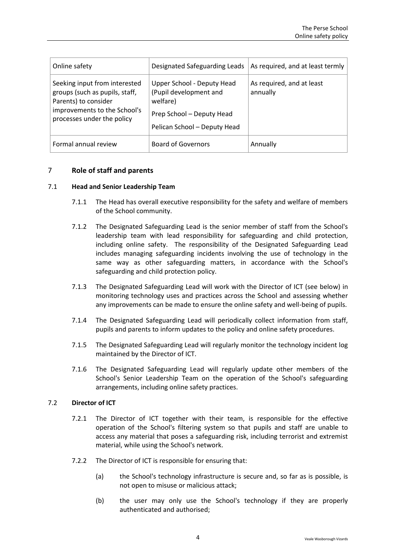| Online safety                                                                                                                                         | Designated Safeguarding Leads                                                                                                 | As required, and at least termly      |
|-------------------------------------------------------------------------------------------------------------------------------------------------------|-------------------------------------------------------------------------------------------------------------------------------|---------------------------------------|
| Seeking input from interested<br>groups (such as pupils, staff,<br>Parents) to consider<br>improvements to the School's<br>processes under the policy | Upper School - Deputy Head<br>(Pupil development and<br>welfare)<br>Prep School - Deputy Head<br>Pelican School - Deputy Head | As required, and at least<br>annually |
| Formal annual review                                                                                                                                  | <b>Board of Governors</b>                                                                                                     | Annually                              |

## <span id="page-5-0"></span>7 **Role of staff and parents**

#### 7.1 **Head and Senior Leadership Team**

- 7.1.1 The Head has overall executive responsibility for the safety and welfare of members of the School community.
- 7.1.2 The Designated Safeguarding Lead is the senior member of staff from the School's leadership team with lead responsibility for safeguarding and child protection, including online safety. The responsibility of the Designated Safeguarding Lead includes managing safeguarding incidents involving the use of technology in the same way as other safeguarding matters, in accordance with the School's safeguarding and child protection policy.
- 7.1.3 The Designated Safeguarding Lead will work with the Director of ICT (see below) in monitoring technology uses and practices across the School and assessing whether any improvements can be made to ensure the online safety and well-being of pupils.
- 7.1.4 The Designated Safeguarding Lead will periodically collect information from staff, pupils and parents to inform updates to the policy and online safety procedures.
- 7.1.5 The Designated Safeguarding Lead will regularly monitor the technology incident log maintained by the Director of ICT.
- 7.1.6 The Designated Safeguarding Lead will regularly update other members of the School's Senior Leadership Team on the operation of the School's safeguarding arrangements, including online safety practices.

#### 7.2 **Director of ICT**

- 7.2.1 The Director of ICT together with their team, is responsible for the effective operation of the School's filtering system so that pupils and staff are unable to access any material that poses a safeguarding risk, including terrorist and extremist material, while using the School's network.
- 7.2.2 The Director of ICT is responsible for ensuring that:
	- (a) the School's technology infrastructure is secure and, so far as is possible, is not open to misuse or malicious attack;
	- (b) the user may only use the School's technology if they are properly authenticated and authorised;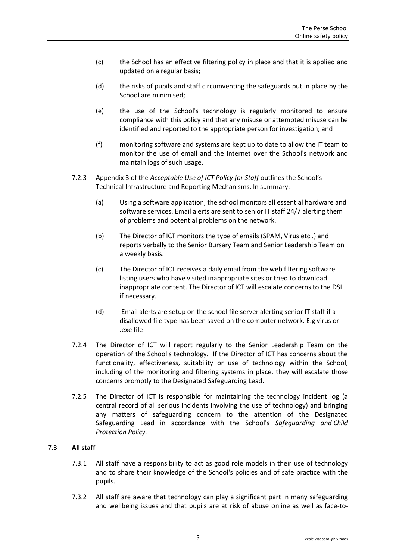- (c) the School has an effective filtering policy in place and that it is applied and updated on a regular basis;
- (d) the risks of pupils and staff circumventing the safeguards put in place by the School are minimised;
- (e) the use of the School's technology is regularly monitored to ensure compliance with this policy and that any misuse or attempted misuse can be identified and reported to the appropriate person for investigation; and
- (f) monitoring software and systems are kept up to date to allow the IT team to monitor the use of email and the internet over the School's network and maintain logs of such usage.
- 7.2.3 Appendix 3 of the *Acceptable Use of ICT Policy for Staff* outlines the School's Technical Infrastructure and Reporting Mechanisms. In summary:
	- (a) Using a software application, the school monitors all essential hardware and software services. Email alerts are sent to senior IT staff 24/7 alerting them of problems and potential problems on the network.
	- (b) The Director of ICT monitors the type of emails (SPAM, Virus etc..) and reports verbally to the Senior Bursary Team and Senior Leadership Team on a weekly basis.
	- (c) The Director of ICT receives a daily email from the web filtering software listing users who have visited inappropriate sites or tried to download inappropriate content. The Director of ICT will escalate concerns to the DSL if necessary.
	- (d) Email alerts are setup on the school file server alerting senior IT staff if a disallowed file type has been saved on the computer network. E.g virus or .exe file
- 7.2.4 The Director of ICT will report regularly to the Senior Leadership Team on the operation of the School's technology. If the Director of ICT has concerns about the functionality, effectiveness, suitability or use of technology within the School, including of the monitoring and filtering systems in place, they will escalate those concerns promptly to the Designated Safeguarding Lead.
- 7.2.5 The Director of ICT is responsible for maintaining the technology incident log (a central record of all serious incidents involving the use of technology) and bringing any matters of safeguarding concern to the attention of the Designated Safeguarding Lead in accordance with the School's *Safeguarding and Child Protection Policy.*

## 7.3 **All staff**

- 7.3.1 All staff have a responsibility to act as good role models in their use of technology and to share their knowledge of the School's policies and of safe practice with the pupils.
- 7.3.2 All staff are aware that technology can play a significant part in many safeguarding and wellbeing issues and that pupils are at risk of abuse online as well as face-to-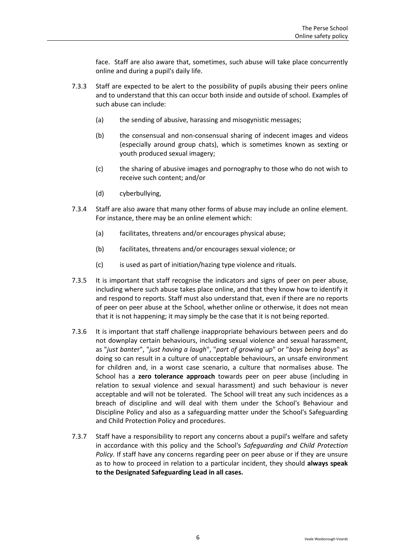face. Staff are also aware that, sometimes, such abuse will take place concurrently online and during a pupil's daily life.

- 7.3.3 Staff are expected to be alert to the possibility of pupils abusing their peers online and to understand that this can occur both inside and outside of school. Examples of such abuse can include:
	- (a) the sending of abusive, harassing and misogynistic messages;
	- (b) the consensual and non-consensual sharing of indecent images and videos (especially around group chats), which is sometimes known as sexting or youth produced sexual imagery;
	- (c) the sharing of abusive images and pornography to those who do not wish to receive such content; and/or
	- (d) cyberbullying,
- 7.3.4 Staff are also aware that many other forms of abuse may include an online element. For instance, there may be an online element which:
	- (a) facilitates, threatens and/or encourages physical abuse;
	- (b) facilitates, threatens and/or encourages sexual violence; or
	- (c) is used as part of initiation/hazing type violence and rituals.
- 7.3.5 It is important that staff recognise the indicators and signs of peer on peer abuse, including where such abuse takes place online, and that they know how to identify it and respond to reports. Staff must also understand that, even if there are no reports of peer on peer abuse at the School, whether online or otherwise, it does not mean that it is not happening; it may simply be the case that it is not being reported.
- 7.3.6 It is important that staff challenge inappropriate behaviours between peers and do not downplay certain behaviours, including sexual violence and sexual harassment, as "*just bante*r", "*just having a laugh*", "*part of growing up*" or "*boys being boys*" as doing so can result in a culture of unacceptable behaviours, an unsafe environment for children and, in a worst case scenario, a culture that normalises abuse. The School has a **zero tolerance approach** towards peer on peer abuse (including in relation to sexual violence and sexual harassment) and such behaviour is never acceptable and will not be tolerated. The School will treat any such incidences as a breach of discipline and will deal with them under the School's Behaviour and Discipline Policy and also as a safeguarding matter under the School's Safeguarding and Child Protection Policy and procedures.
- 7.3.7 Staff have a responsibility to report any concerns about a pupil's welfare and safety in accordance with this policy and the School's *Safeguarding and Child Protection Policy.* If staff have any concerns regarding peer on peer abuse or if they are unsure as to how to proceed in relation to a particular incident, they should **always speak to the Designated Safeguarding Lead in all cases.**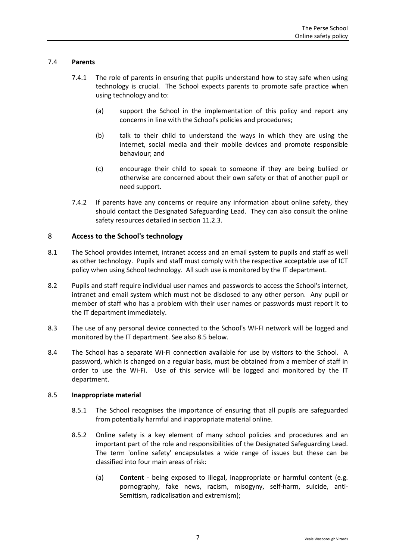## 7.4 **Parents**

- 7.4.1 The role of parents in ensuring that pupils understand how to stay safe when using technology is crucial. The School expects parents to promote safe practice when using technology and to:
	- (a) support the School in the implementation of this policy and report any concerns in line with the School's policies and procedures;
	- (b) talk to their child to understand the ways in which they are using the internet, social media and their mobile devices and promote responsible behaviour; and
	- (c) encourage their child to speak to someone if they are being bullied or otherwise are concerned about their own safety or that of another pupil or need support.
- 7.4.2 If parents have any concerns or require any information about online safety, they should contact the Designated Safeguarding Lead. They can also consult the online safety resources detailed in section [11.2.3.](#page-15-1)

## <span id="page-8-0"></span>8 **Access to the School's technology**

- 8.1 The School provides internet, intranet access and an email system to pupils and staff as well as other technology. Pupils and staff must comply with the respective acceptable use of ICT policy when using School technology. All such use is monitored by the IT department.
- 8.2 Pupils and staff require individual user names and passwords to access the School's internet, intranet and email system which must not be disclosed to any other person. Any pupil or member of staff who has a problem with their user names or passwords must report it to the IT department immediately.
- 8.3 The use of any personal device connected to the School's WI-FI network will be logged and monitored by the IT department. See also [8.5](#page-8-1) below.
- 8.4 The School has a separate Wi-Fi connection available for use by visitors to the School. A password, which is changed on a regular basis, must be obtained from a member of staff in order to use the Wi-Fi. Use of this service will be logged and monitored by the IT department.

#### <span id="page-8-1"></span>8.5 **Inappropriate material**

- 8.5.1 The School recognises the importance of ensuring that all pupils are safeguarded from potentially harmful and inappropriate material online.
- 8.5.2 Online safety is a key element of many school policies and procedures and an important part of the role and responsibilities of the Designated Safeguarding Lead. The term 'online safety' encapsulates a wide range of issues but these can be classified into four main areas of risk:
	- (a) **Content**  being exposed to illegal, inappropriate or harmful content (e.g. pornography, fake news, racism, misogyny, self-harm, suicide, anti-Semitism, radicalisation and extremism);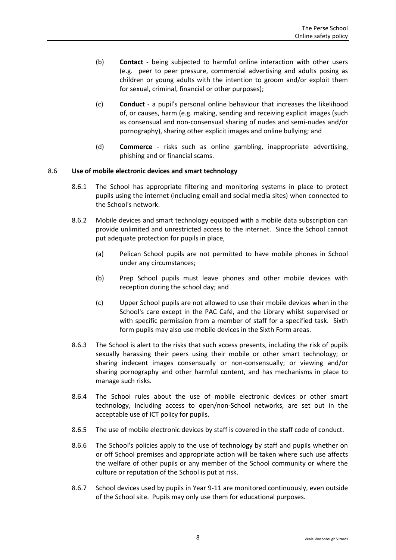- (b) **Contact**  being subjected to harmful online interaction with other users (e.g. peer to peer pressure, commercial advertising and adults posing as children or young adults with the intention to groom and/or exploit them for sexual, criminal, financial or other purposes);
- (c) **Conduct** a pupil's personal online behaviour that increases the likelihood of, or causes, harm (e.g. making, sending and receiving explicit images (such as consensual and non-consensual sharing of nudes and semi-nudes and/or pornography), sharing other explicit images and online bullying; and
- (d) **Commerce** risks such as online gambling, inappropriate advertising, phishing and or financial scams.

## 8.6 **Use of mobile electronic devices and smart technology**

- 8.6.1 The School has appropriate filtering and monitoring systems in place to protect pupils using the internet (including email and social media sites) when connected to the School's network.
- 8.6.2 Mobile devices and smart technology equipped with a mobile data subscription can provide unlimited and unrestricted access to the internet. Since the School cannot put adequate protection for pupils in place,
	- (a) Pelican School pupils are not permitted to have mobile phones in School under any circumstances;
	- (b) Prep School pupils must leave phones and other mobile devices with reception during the school day; and
	- (c) Upper School pupils are not allowed to use their mobile devices when in the School's care except in the PAC Café, and the Library whilst supervised or with specific permission from a member of staff for a specified task. Sixth form pupils may also use mobile devices in the Sixth Form areas.
- 8.6.3 The School is alert to the risks that such access presents, including the risk of pupils sexually harassing their peers using their mobile or other smart technology; or sharing indecent images consensually or non-consensually; or viewing and/or sharing pornography and other harmful content, and has mechanisms in place to manage such risks.
- 8.6.4 The School rules about the use of mobile electronic devices or other smart technology, including access to open/non-School networks, are set out in the acceptable use of ICT policy for pupils.
- 8.6.5 The use of mobile electronic devices by staff is covered in the staff code of conduct.
- 8.6.6 The School's policies apply to the use of technology by staff and pupils whether on or off School premises and appropriate action will be taken where such use affects the welfare of other pupils or any member of the School community or where the culture or reputation of the School is put at risk.
- 8.6.7 School devices used by pupils in Year 9-11 are monitored continuously, even outside of the School site. Pupils may only use them for educational purposes.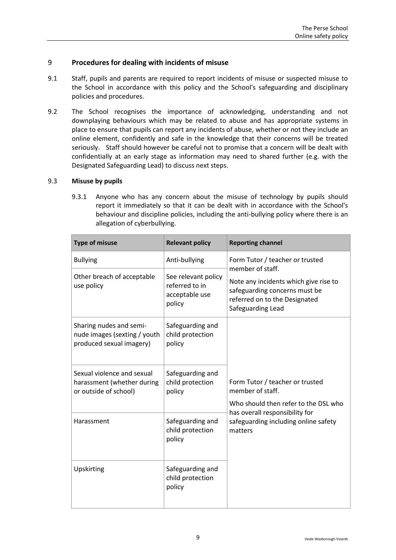## <span id="page-10-0"></span>9 **Procedures for dealing with incidents of misuse**

- 9.1 Staff, pupils and parents are required to report incidents of misuse or suspected misuse to the School in accordance with this policy and the School's safeguarding and disciplinary policies and procedures.
- 9.2 The School recognises the importance of acknowledging, understanding and not downplaying behaviours which may be related to abuse and has appropriate systems in place to ensure that pupils can report any incidents of abuse, whether or not they include an online element, confidently and safe in the knowledge that their concerns will be treated seriously. Staff should however be careful not to promise that a concern will be dealt with confidentially at an early stage as information may need to shared further (e.g. with the Designated Safeguarding Lead) to discuss next steps.

#### 9.3 **Misuse by pupils**

9.3.1 Anyone who has any concern about the misuse of technology by pupils should report it immediately so that it can be dealt with in accordance with the School's behaviour and discipline policies, including the anti-bullying policy where there is an allegation of cyberbullying.

| <b>Type of misuse</b>                                                               | <b>Relevant policy</b>                                                                                                                        | <b>Reporting channel</b>                                                                                                     |  |
|-------------------------------------------------------------------------------------|-----------------------------------------------------------------------------------------------------------------------------------------------|------------------------------------------------------------------------------------------------------------------------------|--|
| <b>Bullying</b>                                                                     | Anti-bullying                                                                                                                                 | Form Tutor / teacher or trusted<br>member of staff.                                                                          |  |
| Other breach of acceptable<br>use policy                                            | See relevant policy<br>referred to in<br>acceptable use<br>policy                                                                             | Note any incidents which give rise to<br>safeguarding concerns must be<br>referred on to the Designated<br>Safeguarding Lead |  |
| Sharing nudes and semi-<br>nude images (sexting / youth<br>produced sexual imagery) | Safeguarding and<br>child protection<br>policy                                                                                                |                                                                                                                              |  |
| Sexual violence and sexual<br>harassment (whether during<br>or outside of school)   | Safeguarding and<br>Form Tutor / teacher or trusted<br>child protection<br>member of staff.<br>policy<br>Who should then refer to the DSL who |                                                                                                                              |  |
| Harassment                                                                          | Safeguarding and<br>child protection<br>policy                                                                                                | has overall responsibility for<br>safeguarding including online safety<br>matters                                            |  |
| Upskirting                                                                          | Safeguarding and<br>child protection<br>policy                                                                                                |                                                                                                                              |  |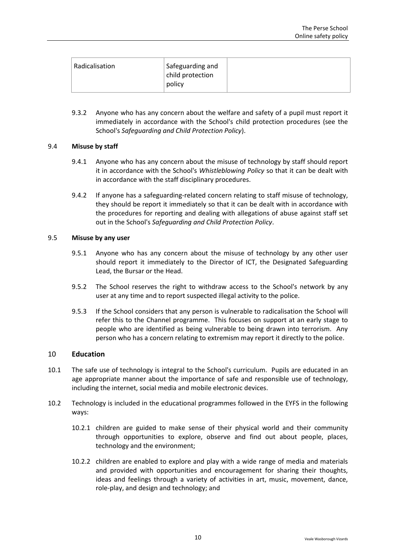| Radicalisation | Safeguarding and<br>child protection<br>policy |  |
|----------------|------------------------------------------------|--|
|----------------|------------------------------------------------|--|

9.3.2 Anyone who has any concern about the welfare and safety of a pupil must report it immediately in accordance with the School's child protection procedures (see the School's *Safeguarding and Child Protection Policy*).

#### 9.4 **Misuse by staff**

- 9.4.1 Anyone who has any concern about the misuse of technology by staff should report it in accordance with the School's *Whistleblowing Policy* so that it can be dealt with in accordance with the staff disciplinary procedures.
- 9.4.2 If anyone has a safeguarding-related concern relating to staff misuse of technology, they should be report it immediately so that it can be dealt with in accordance with the procedures for reporting and dealing with allegations of abuse against staff set out in the School's *Safeguarding and Child Protection Policy*.

## 9.5 **Misuse by any user**

- 9.5.1 Anyone who has any concern about the misuse of technology by any other user should report it immediately to the Director of ICT, the Designated Safeguarding Lead, the Bursar or the Head.
- 9.5.2 The School reserves the right to withdraw access to the School's network by any user at any time and to report suspected illegal activity to the police.
- 9.5.3 If the School considers that any person is vulnerable to radicalisation the School will refer this to the Channel programme. This focuses on support at an early stage to people who are identified as being vulnerable to being drawn into terrorism. Any person who has a concern relating to extremism may report it directly to the police.

## <span id="page-11-0"></span>10 **Education**

- 10.1 The safe use of technology is integral to the School's curriculum. Pupils are educated in an age appropriate manner about the importance of safe and responsible use of technology, including the internet, social media and mobile electronic devices.
- 10.2 Technology is included in the educational programmes followed in the EYFS in the following ways:
	- 10.2.1 children are guided to make sense of their physical world and their community through opportunities to explore, observe and find out about people, places, technology and the environment;
	- 10.2.2 children are enabled to explore and play with a wide range of media and materials and provided with opportunities and encouragement for sharing their thoughts, ideas and feelings through a variety of activities in art, music, movement, dance, role-play, and design and technology; and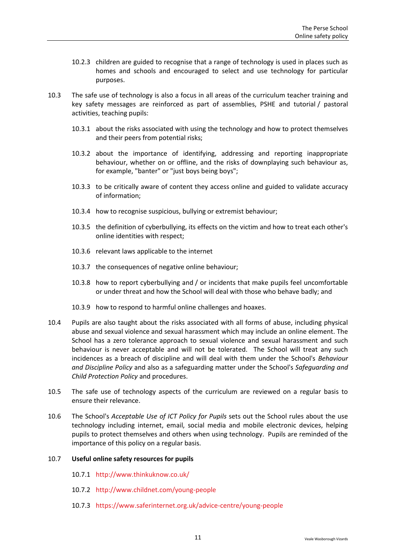- 10.2.3 children are guided to recognise that a range of technology is used in places such as homes and schools and encouraged to select and use technology for particular purposes.
- 10.3 The safe use of technology is also a focus in all areas of the curriculum teacher training and key safety messages are reinforced as part of assemblies, PSHE and tutorial / pastoral activities, teaching pupils:
	- 10.3.1 about the risks associated with using the technology and how to protect themselves and their peers from potential risks;
	- 10.3.2 about the importance of identifying, addressing and reporting inappropriate behaviour, whether on or offline, and the risks of downplaying such behaviour as, for example, "banter" or "just boys being boys";
	- 10.3.3 to be critically aware of content they access online and guided to validate accuracy of information;
	- 10.3.4 how to recognise suspicious, bullying or extremist behaviour;
	- 10.3.5 the definition of cyberbullying, its effects on the victim and how to treat each other's online identities with respect;
	- 10.3.6 relevant laws applicable to the internet
	- 10.3.7 the consequences of negative online behaviour;
	- 10.3.8 how to report cyberbullying and / or incidents that make pupils feel uncomfortable or under threat and how the School will deal with those who behave badly; and
	- 10.3.9 how to respond to harmful online challenges and hoaxes.
- 10.4 Pupils are also taught about the risks associated with all forms of abuse, including physical abuse and sexual violence and sexual harassment which may include an online element. The School has a zero tolerance approach to sexual violence and sexual harassment and such behaviour is never acceptable and will not be tolerated. The School will treat any such incidences as a breach of discipline and will deal with them under the School's *Behaviour and Discipline Policy* and also as a safeguarding matter under the School's *Safeguarding and Child Protection Policy* and procedures.
- 10.5 The safe use of technology aspects of the curriculum are reviewed on a regular basis to ensure their relevance.
- 10.6 The School's *Acceptable Use of ICT Policy for Pupils* sets out the School rules about the use technology including internet, email, social media and mobile electronic devices, helping pupils to protect themselves and others when using technology. Pupils are reminded of the importance of this policy on a regular basis.

#### 10.7 **Useful online safety resources for pupils**

- 10.7.1 <http://www.thinkuknow.co.uk/>
- 10.7.2 <http://www.childnet.com/young-people>
- 10.7.3 <https://www.saferinternet.org.uk/advice-centre/young-people>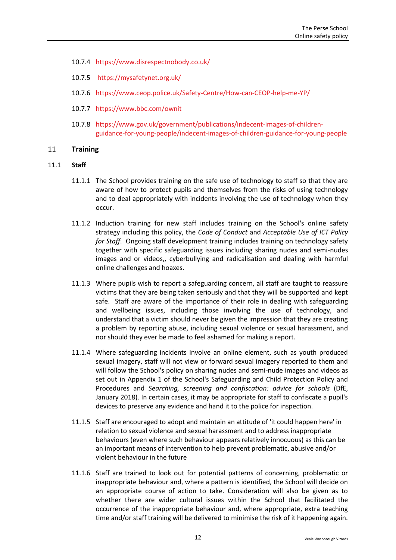- 10.7.4 <https://www.disrespectnobody.co.uk/>
- 10.7.5 <https://mysafetynet.org.uk/>
- 10.7.6 <https://www.ceop.police.uk/Safety-Centre/How-can-CEOP-help-me-YP/>
- 10.7.7 <https://www.bbc.com/ownit>
- 10.7.8 [https://www.gov.uk/government/publications/indecent-images-of-children](https://www.gov.uk/government/publications/indecent-images-of-children-guidance-for-young-people/indecent-images-of-children-guidance-for-young-people)[guidance-for-young-people/indecent-images-of-children-guidance-for-young-people](https://www.gov.uk/government/publications/indecent-images-of-children-guidance-for-young-people/indecent-images-of-children-guidance-for-young-people)

## <span id="page-13-0"></span>11 **Training**

- 11.1 **Staff**
	- 11.1.1 The School provides training on the safe use of technology to staff so that they are aware of how to protect pupils and themselves from the risks of using technology and to deal appropriately with incidents involving the use of technology when they occur.
	- 11.1.2 Induction training for new staff includes training on the School's online safety strategy including this policy, the *Code of Conduct* and *Acceptable Use of ICT Policy for Staff*. Ongoing staff development training includes training on technology safety together with specific safeguarding issues including sharing nudes and semi-nudes images and or videos,, cyberbullying and radicalisation and dealing with harmful online challenges and hoaxes.
	- 11.1.3 Where pupils wish to report a safeguarding concern, all staff are taught to reassure victims that they are being taken seriously and that they will be supported and kept safe. Staff are aware of the importance of their role in dealing with safeguarding and wellbeing issues, including those involving the use of technology, and understand that a victim should never be given the impression that they are creating a problem by reporting abuse, including sexual violence or sexual harassment, and nor should they ever be made to feel ashamed for making a report.
	- 11.1.4 Where safeguarding incidents involve an online element, such as youth produced sexual imagery, staff will not view or forward sexual imagery reported to them and will follow the School's policy on sharing nudes and semi-nude images and videos as set out in Appendix 1 of the School's Safeguarding and Child Protection Policy and Procedures and *Searching, screening and confiscation: advice for schools* (DfE, January 2018). In certain cases, it may be appropriate for staff to confiscate a pupil's devices to preserve any evidence and hand it to the police for inspection.
	- 11.1.5 Staff are encouraged to adopt and maintain an attitude of 'it could happen here' in relation to sexual violence and sexual harassment and to address inappropriate behaviours (even where such behaviour appears relatively innocuous) as this can be an important means of intervention to help prevent problematic, abusive and/or violent behaviour in the future
	- 11.1.6 Staff are trained to look out for potential patterns of concerning, problematic or inappropriate behaviour and, where a pattern is identified, the School will decide on an appropriate course of action to take. Consideration will also be given as to whether there are wider cultural issues within the School that facilitated the occurrence of the inappropriate behaviour and, where appropriate, extra teaching time and/or staff training will be delivered to minimise the risk of it happening again.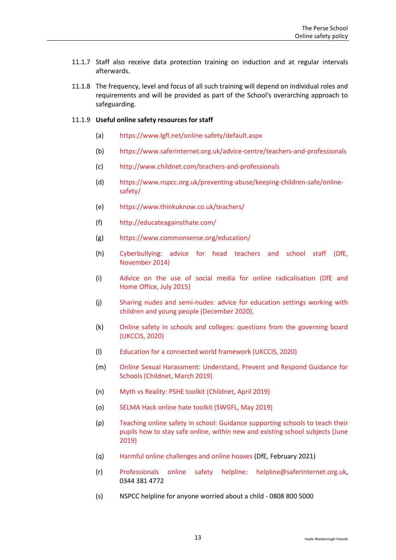- 11.1.7 Staff also receive data protection training on induction and at regular intervals afterwards.
- 11.1.8 The frequency, level and focus of all such training will depend on individual roles and requirements and will be provided as part of the School's overarching approach to safeguarding.

#### 11.1.9 **Useful online safety resources for staff**

- (a) <https://www.lgfl.net/online-safety/default.aspx>
- (b) <https://www.saferinternet.org.uk/advice-centre/teachers-and-professionals>
- (c) <http://www.childnet.com/teachers-and-professionals>
- (d) [https://www.nspcc.org.uk/preventing-abuse/keeping-children-safe/online](https://www.nspcc.org.uk/preventing-abuse/keeping-children-safe/online-safety/)[safety/](https://www.nspcc.org.uk/preventing-abuse/keeping-children-safe/online-safety/)
- (e) <https://www.thinkuknow.co.uk/teachers/>
- (f) <http://educateagainsthate.com/>
- (g) <https://www.commonsense.org/education/>
- (h) [Cyberbullying: advice for head teachers and school staff \(DfE,](https://www.gov.uk/government/publications/preventing-and-tackling-bullying)  [November](https://www.gov.uk/government/publications/preventing-and-tackling-bullying) 2014)
- (i) [Advice on the use of social media for online radicalisation \(DfE and](https://www.gov.uk/government/publications/the-use-of-social-media-for-online-radicalisation)  Home [Office, July 2015\)](https://www.gov.uk/government/publications/the-use-of-social-media-for-online-radicalisation)
- (j) [Sharing nudes and semi-nudes: advice for education settings working with](https://www.gov.uk/government/uploads/system/uploads/attachment_data/file/609874/6_2939_SP_NCA_Sexting_In_Schools_FINAL_Update_Jan17.pdf)  [children and young people \(December 2020\).](https://www.gov.uk/government/uploads/system/uploads/attachment_data/file/609874/6_2939_SP_NCA_Sexting_In_Schools_FINAL_Update_Jan17.pdf)
- (k) [Online safety in schools and colleges: questions from the governing board](https://www.gov.uk/government/uploads/system/uploads/attachment_data/file/562876/Guidance_for_School_Governors_-_Question_list.pdf)  [\(UKCCIS, 2020\)](https://www.gov.uk/government/uploads/system/uploads/attachment_data/file/562876/Guidance_for_School_Governors_-_Question_list.pdf)
- (l) [Education for a connected world framework \(UKCCIS, 2020\)](https://assets.publishing.service.gov.uk/government/uploads/system/uploads/attachment_data/file/683895/Education_for_a_connected_world_PDF.PDF)
- (m) [Online Sexual Harassment: Understand, Prevent and Respond Guidance for](https://www.childnet.com/resources/step-up-speak-up/guidance-and-training-for-schools-and-professionals)  [Schools \(Childnet, March 2019\)](https://www.childnet.com/resources/step-up-speak-up/guidance-and-training-for-schools-and-professionals)
- (n) [Myth vs Reality: PSHE toolkit \(Childnet,](https://www.childnet.com/resources/pshe-toolkit/myth-vs-reality) April 2019)
- (o) [SELMA Hack online hate toolkit \(SWGFL, May 2019\)](https://hackinghate.eu/)
- (p) [Teaching online safety in school: Guidance supporting schools to teach their](https://www.gov.uk/government/publications/teaching-online-safety-in-schools)  [pupils how to stay safe online, within new and existing school subjects \(June](https://www.gov.uk/government/publications/teaching-online-safety-in-schools)  [2019\)](https://www.gov.uk/government/publications/teaching-online-safety-in-schools)
- (q) [Harmful online challenges and online hoaxes \(](https://www.gov.uk/government/publications/harmful-online-challenges-and-online-hoaxes/harmful-online-challenges-and-online-hoaxes)DfE, February 2021)
- (r) [Professionals online safety helpline:](mailto:Professionals%20online%20safety%20helpline) [helpline@saferinternet.org.uk,](mailto:helpline@saferinternet.org.uk) 0344 381 4772
- (s) NSPCC helpline for anyone worried about a child 0808 800 5000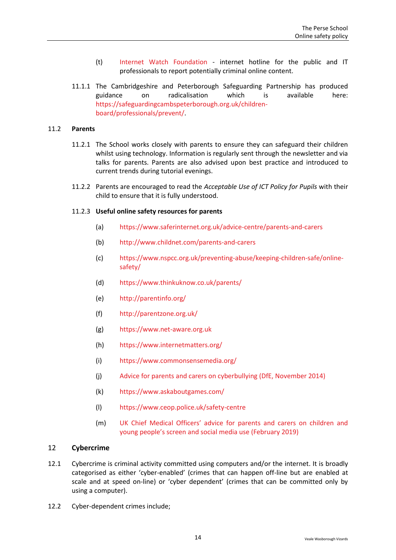- (t) [Internet Watch Foundation](https://www.iwf.org.uk/) internet hotline for the public and IT professionals to report potentially criminal online content.
- 11.1.1 The Cambridgeshire and Peterborough Safeguarding Partnership has produced guidance on radicalisation which is available here: [https://safeguardingcambspeterborough.org.uk/children](https://safeguardingcambspeterborough.org.uk/children-board/professionals/prevent/)[board/professionals/prevent/.](https://safeguardingcambspeterborough.org.uk/children-board/professionals/prevent/)

#### 11.2 **Parents**

- 11.2.1 The School works closely with parents to ensure they can safeguard their children whilst using technology. Information is regularly sent through the newsletter and via talks for parents. Parents are also advised upon best practice and introduced to current trends during tutorial evenings.
- 11.2.2 Parents are encouraged to read the *Acceptable Use of ICT Policy for Pupils* with their child to ensure that it is fully understood.

#### <span id="page-15-1"></span>11.2.3 **Useful online safety resources for parents**

- (a) <https://www.saferinternet.org.uk/advice-centre/parents-and-carers>
- (b) <http://www.childnet.com/parents-and-carers>
- (c) [https://www.nspcc.org.uk/preventing-abuse/keeping-children-safe/online](https://www.nspcc.org.uk/preventing-abuse/keeping-children-safe/online-safety/)[safety/](https://www.nspcc.org.uk/preventing-abuse/keeping-children-safe/online-safety/)
- (d) <https://www.thinkuknow.co.uk/parents/>
- (e) <http://parentinfo.org/>
- (f) <http://parentzone.org.uk/>
- (g) [https://www.net-aware.org.uk](https://www.net-aware.org.uk/)
- (h) <https://www.internetmatters.org/>
- (i) <https://www.commonsensemedia.org/>
- (j) [Advice for parents and carers on cyberbullying \(DfE, November 2014\)](https://www.gov.uk/government/publications/preventing-and-tackling-bullying)
- (k) <https://www.askaboutgames.com/>
- (l) <https://www.ceop.police.uk/safety-centre>
- (m) [UK Chief Medical Officers' advice for parents and carers on children and](https://www.gov.uk/government/publications/uk-cmo-commentary-on-screen-time-and-social-media-map-of-reviews)  [young people's screen and social media use \(February 2019\)](https://www.gov.uk/government/publications/uk-cmo-commentary-on-screen-time-and-social-media-map-of-reviews)

#### <span id="page-15-0"></span>12 **Cybercrime**

- 12.1 Cybercrime is criminal activity committed using computers and/or the internet. It is broadly categorised as either 'cyber-enabled' (crimes that can happen off-line but are enabled at scale and at speed on-line) or 'cyber dependent' (crimes that can be committed only by using a computer).
- 12.2 Cyber-dependent crimes include;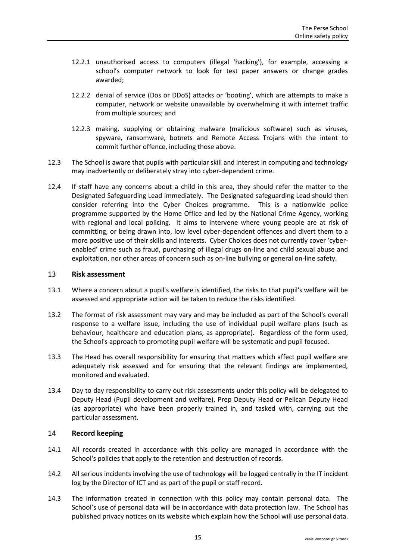- 12.2.1 unauthorised access to computers (illegal 'hacking'), for example, accessing a school's computer network to look for test paper answers or change grades awarded;
- 12.2.2 denial of service (Dos or DDoS) attacks or 'booting', which are attempts to make a computer, network or website unavailable by overwhelming it with internet traffic from multiple sources; and
- 12.2.3 making, supplying or obtaining malware (malicious software) such as viruses, spyware, ransomware, botnets and Remote Access Trojans with the intent to commit further offence, including those above.
- 12.3 The School is aware that pupils with particular skill and interest in computing and technology may inadvertently or deliberately stray into cyber-dependent crime.
- 12.4 If staff have any concerns about a child in this area, they should refer the matter to the Designated Safeguarding Lead immediately. The Designated safeguarding Lead should then consider referring into the Cyber Choices programme. This is a nationwide police programme supported by the Home Office and led by the National Crime Agency, working with regional and local policing. It aims to intervene where young people are at risk of committing, or being drawn into, low level cyber-dependent offences and divert them to a more positive use of their skills and interests. Cyber Choices does not currently cover 'cyberenabled' crime such as fraud, purchasing of illegal drugs on-line and child sexual abuse and exploitation, nor other areas of concern such as on-line bullying or general on-line safety.

#### <span id="page-16-0"></span>13 **Risk assessment**

- 13.1 Where a concern about a pupil's welfare is identified, the risks to that pupil's welfare will be assessed and appropriate action will be taken to reduce the risks identified.
- 13.2 The format of risk assessment may vary and may be included as part of the School's overall response to a welfare issue, including the use of individual pupil welfare plans (such as behaviour, healthcare and education plans, as appropriate). Regardless of the form used, the School's approach to promoting pupil welfare will be systematic and pupil focused.
- 13.3 The Head has overall responsibility for ensuring that matters which affect pupil welfare are adequately risk assessed and for ensuring that the relevant findings are implemented, monitored and evaluated.
- 13.4 Day to day responsibility to carry out risk assessments under this policy will be delegated to Deputy Head (Pupil development and welfare), Prep Deputy Head or Pelican Deputy Head (as appropriate) who have been properly trained in, and tasked with, carrying out the particular assessment.

## <span id="page-16-1"></span>14 **Record keeping**

- 14.1 All records created in accordance with this policy are managed in accordance with the School's policies that apply to the retention and destruction of records.
- 14.2 All serious incidents involving the use of technology will be logged centrally in the IT incident log by the Director of ICT and as part of the pupil or staff record.
- 14.3 The information created in connection with this policy may contain personal data. The School's use of personal data will be in accordance with data protection law. The School has published privacy notices on its website which explain how the School will use personal data.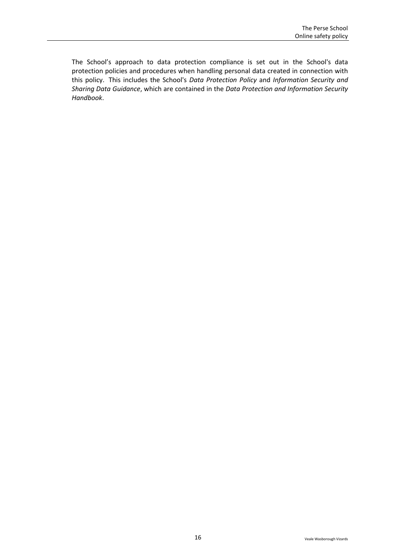The School's approach to data protection compliance is set out in the School's data protection policies and procedures when handling personal data created in connection with this policy. This includes the School's *Data Protection Policy* and *Information Security and Sharing Data Guidance*, which are contained in the *Data Protection and Information Security Handbook*.